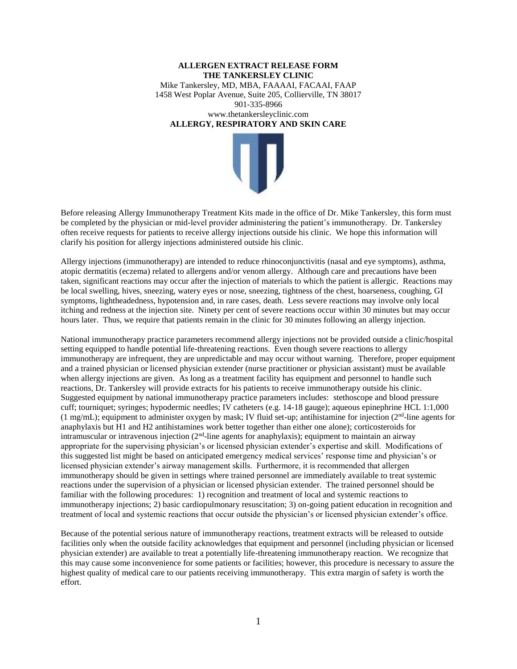## **ALLERGEN EXTRACT RELEASE FORM THE TANKERSLEY CLINIC**  Mike Tankersley, MD, MBA, FAAAAI, FACAAI, FAAP 1458 West Poplar Avenue, Suite 205, Collierville, TN 38017 901-335-8966 www.thetankersleyclinic.com **ALLERGY, RESPIRATORY AND SKIN CARE**



Before releasing Allergy Immunotherapy Treatment Kits made in the office of Dr. Mike Tankersley, this form must be completed by the physician or mid-level provider administering the patient's immunotherapy. Dr. Tankersley often receive requests for patients to receive allergy injections outside his clinic. We hope this information will clarify his position for allergy injections administered outside his clinic.

Allergy injections (immunotherapy) are intended to reduce rhinoconjunctivitis (nasal and eye symptoms), asthma, atopic dermatitis (eczema) related to allergens and/or venom allergy. Although care and precautions have been taken, significant reactions may occur after the injection of materials to which the patient is allergic. Reactions may be local swelling, hives, sneezing, watery eyes or nose, sneezing, tightness of the chest, hoarseness, coughing, GI symptoms, lightheadedness, hypotension and, in rare cases, death. Less severe reactions may involve only local itching and redness at the injection site. Ninety per cent of severe reactions occur within 30 minutes but may occur hours later. Thus, we require that patients remain in the clinic for 30 minutes following an allergy injection.

National immunotherapy practice parameters recommend allergy injections not be provided outside a clinic/hospital setting equipped to handle potential life-threatening reactions. Even though severe reactions to allergy immunotherapy are infrequent, they are unpredictable and may occur without warning. Therefore, proper equipment and a trained physician or licensed physician extender (nurse practitioner or physician assistant) must be available when allergy injections are given. As long as a treatment facility has equipment and personnel to handle such reactions, Dr. Tankersley will provide extracts for his patients to receive immunotherapy outside his clinic. Suggested equipment by national immunotherapy practice parameters includes: stethoscope and blood pressure cuff; tourniquet; syringes; hypodermic needles; IV catheters (e.g. 14-18 gauge); aqueous epinephrine HCL 1:1,000  $(1 \text{ mg/mL})$ ; equipment to administer oxygen by mask; IV fluid set-up; antihistamine for injection  $(2<sup>nd</sup>$ -line agents for anaphylaxis but H1 and H2 antihistamines work better together than either one alone); corticosteroids for intramuscular or intravenous injection (2<sup>nd</sup>-line agents for anaphylaxis); equipment to maintain an airway appropriate for the supervising physician's or licensed physician extender's expertise and skill. Modifications of this suggested list might be based on anticipated emergency medical services' response time and physician's or licensed physician extender's airway management skills. Furthermore, it is recommended that allergen immunotherapy should be given in settings where trained personnel are immediately available to treat systemic reactions under the supervision of a physician or licensed physician extender. The trained personnel should be familiar with the following procedures: 1) recognition and treatment of local and systemic reactions to immunotherapy injections; 2) basic cardiopulmonary resuscitation; 3) on-going patient education in recognition and treatment of local and systemic reactions that occur outside the physician's or licensed physician extender's office.

Because of the potential serious nature of immunotherapy reactions, treatment extracts will be released to outside facilities only when the outside facility acknowledges that equipment and personnel (including physician or licensed physician extender) are available to treat a potentially life-threatening immunotherapy reaction. We recognize that this may cause some inconvenience for some patients or facilities; however, this procedure is necessary to assure the highest quality of medical care to our patients receiving immunotherapy. This extra margin of safety is worth the effort.